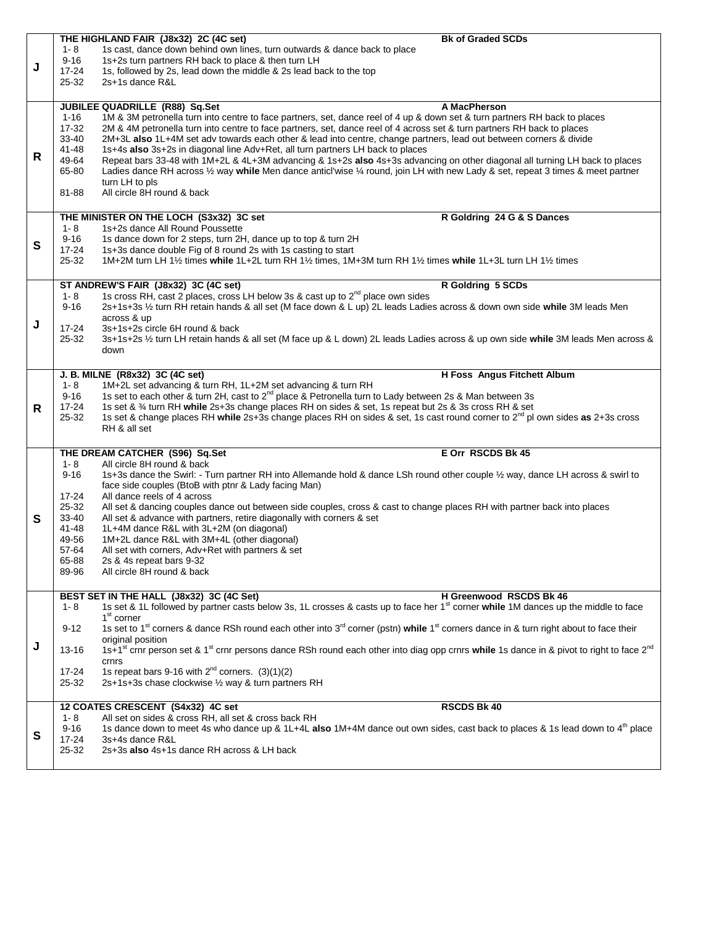|    |                     | THE HIGHLAND FAIR (J8x32) 2C (4C set)                                                                                                                                                                                                        | <b>Bk of Graded SCDs</b>           |
|----|---------------------|----------------------------------------------------------------------------------------------------------------------------------------------------------------------------------------------------------------------------------------------|------------------------------------|
|    | $1 - 8$             | 1s cast, dance down behind own lines, turn outwards & dance back to place                                                                                                                                                                    |                                    |
| J  | $9 - 16$            | 1s+2s turn partners RH back to place & then turn LH                                                                                                                                                                                          |                                    |
|    | $17 - 24$           | 1s, followed by 2s, lead down the middle & 2s lead back to the top                                                                                                                                                                           |                                    |
|    | 25-32               | 2s+1s dance R&L                                                                                                                                                                                                                              |                                    |
|    |                     |                                                                                                                                                                                                                                              |                                    |
|    |                     | JUBILEE QUADRILLE (R88) Sq.Set                                                                                                                                                                                                               | A MacPherson                       |
|    | $1 - 16$            | 1M & 3M petronella turn into centre to face partners, set, dance reel of 4 up & down set & turn partners RH back to places                                                                                                                   |                                    |
|    | 17-32               | 2M & 4M petronella turn into centre to face partners, set, dance reel of 4 across set & turn partners RH back to places                                                                                                                      |                                    |
|    | 33-40<br>41-48      | 2M+3L also 1L+4M set adv towards each other & lead into centre, change partners, lead out between corners & divide<br>1s+4s also 3s+2s in diagonal line Adv+Ret, all turn partners LH back to places                                         |                                    |
| R  | 49-64               | Repeat bars 33-48 with 1M+2L & 4L+3M advancing & 1s+2s also 4s+3s advancing on other diagonal all turning LH back to places                                                                                                                  |                                    |
|    | 65-80               | Ladies dance RH across 1/2 way while Men dance anticl'wise 1/4 round, join LH with new Lady & set, repeat 3 times & meet partner                                                                                                             |                                    |
|    |                     | turn LH to pls                                                                                                                                                                                                                               |                                    |
|    | 81-88               | All circle 8H round & back                                                                                                                                                                                                                   |                                    |
|    |                     |                                                                                                                                                                                                                                              |                                    |
|    |                     | THE MINISTER ON THE LOCH (S3x32) 3C set                                                                                                                                                                                                      | R Goldring 24 G & S Dances         |
|    | $1 - 8$             | 1s+2s dance All Round Poussette                                                                                                                                                                                                              |                                    |
| S  | $9 - 16$            | 1s dance down for 2 steps, turn 2H, dance up to top & turn 2H                                                                                                                                                                                |                                    |
|    | $17 - 24$           | 1s+3s dance double Fig of 8 round 2s with 1s casting to start                                                                                                                                                                                |                                    |
|    | 25-32               | 1M+2M turn LH 11/2 times while 1L+2L turn RH 11/2 times, 1M+3M turn RH 11/2 times while 1L+3L turn LH 11/2 times                                                                                                                             |                                    |
|    |                     |                                                                                                                                                                                                                                              |                                    |
|    |                     | ST ANDREW'S FAIR (J8x32) 3C (4C set)                                                                                                                                                                                                         | R Goldring 5 SCDs                  |
|    | $1 - 8$             | 1s cross RH, cast 2 places, cross LH below 3s & cast up to 2 <sup>nd</sup> place own sides                                                                                                                                                   |                                    |
|    | $9 - 16$            | 2s+1s+3s 1/2 turn RH retain hands & all set (M face down & L up) 2L leads Ladies across & down own side while 3M leads Men                                                                                                                   |                                    |
| J  |                     | across & up                                                                                                                                                                                                                                  |                                    |
|    | $17 - 24$           | 3s+1s+2s circle 6H round & back                                                                                                                                                                                                              |                                    |
|    | 25-32               | 3s+1s+2s 1/2 turn LH retain hands & all set (M face up & L down) 2L leads Ladies across & up own side while 3M leads Men across &                                                                                                            |                                    |
|    |                     | down                                                                                                                                                                                                                                         |                                    |
|    |                     |                                                                                                                                                                                                                                              |                                    |
|    |                     | J. B. MILNE (R8x32) 3C (4C set)                                                                                                                                                                                                              | <b>H Foss Angus Fitchett Album</b> |
|    | $1 - 8$             | 1M+2L set advancing & turn RH, 1L+2M set advancing & turn RH                                                                                                                                                                                 |                                    |
|    | $9 - 16$            | 1s set to each other & turn 2H, cast to 2 <sup>nd</sup> place & Petronella turn to Lady between 2s & Man between 3s                                                                                                                          |                                    |
| R. | $17 - 24$<br>25-32  | 1s set & 3⁄4 turn RH while 2s+3s change places RH on sides & set, 1s repeat but 2s & 3s cross RH & set<br>1s set & change places RH while 2s+3s change places RH on sides & set, 1s cast round corner to $2^{nd}$ pl own sides as 2+3s cross |                                    |
|    |                     | RH & all set                                                                                                                                                                                                                                 |                                    |
|    |                     |                                                                                                                                                                                                                                              |                                    |
|    |                     |                                                                                                                                                                                                                                              |                                    |
|    |                     |                                                                                                                                                                                                                                              |                                    |
|    |                     | THE DREAM CATCHER (S96) Sq.Set                                                                                                                                                                                                               | E Orr RSCDS Bk 45                  |
|    | $1 - 8$<br>$9 - 16$ | All circle 8H round & back<br>1s+3s dance the Swirl: - Turn partner RH into Allemande hold & dance LSh round other couple 1/2 way, dance LH across & swirl to                                                                                |                                    |
|    |                     | face side couples (BtoB with ptnr & Lady facing Man)                                                                                                                                                                                         |                                    |
|    | $17 - 24$           | All dance reels of 4 across                                                                                                                                                                                                                  |                                    |
|    | 25-32               | All set & dancing couples dance out between side couples, cross & cast to change places RH with partner back into places                                                                                                                     |                                    |
| S  | 33-40               | All set & advance with partners, retire diagonally with corners & set                                                                                                                                                                        |                                    |
|    | 41-48               | 1L+4M dance R&L with 3L+2M (on diagonal)                                                                                                                                                                                                     |                                    |
|    | 49-56               | 1M+2L dance R&L with 3M+4L (other diagonal)                                                                                                                                                                                                  |                                    |
|    | 57-64               | All set with corners, Adv+Ret with partners & set                                                                                                                                                                                            |                                    |
|    | 65-88               | 2s & 4s repeat bars 9-32                                                                                                                                                                                                                     |                                    |
|    | 89-96               | All circle 8H round & back                                                                                                                                                                                                                   |                                    |
|    |                     |                                                                                                                                                                                                                                              |                                    |
|    |                     | BEST SET IN THE HALL (J8x32) 3C (4C Set)                                                                                                                                                                                                     | H Greenwood RSCDS Bk 46            |
|    | 1-8                 | 1s set & 1L followed by partner casts below 3s, 1L crosses & casts up to face her 1 <sup>st</sup> corner while 1M dances up the middle to face                                                                                               |                                    |
|    |                     | 1 <sup>st</sup> corner                                                                                                                                                                                                                       |                                    |
|    | $9 - 12$            | 1s set to 1 <sup>st</sup> corners & dance RSh round each other into 3 <sup>rd</sup> corner (pstn) while 1 <sup>st</sup> corners dance in & turn right about to face their                                                                    |                                    |
| J  | $13 - 16$           | original position                                                                                                                                                                                                                            |                                    |
|    |                     | 1s+1 <sup>st</sup> crnr person set & 1 <sup>st</sup> crnr persons dance RSh round each other into diag opp crnrs while 1s dance in & pivot to right to face 2 <sup>nd</sup><br>crnrs                                                         |                                    |
|    | $17 - 24$           | 1s repeat bars 9-16 with $2^{nd}$ corners. (3)(1)(2)                                                                                                                                                                                         |                                    |
|    | 25-32               | 2s+1s+3s chase clockwise 1/2 way & turn partners RH                                                                                                                                                                                          |                                    |
|    |                     |                                                                                                                                                                                                                                              |                                    |
|    |                     | 12 COATES CRESCENT (S4x32) 4C set                                                                                                                                                                                                            | <b>RSCDS Bk 40</b>                 |
|    | $1 - 8$             | All set on sides & cross RH, all set & cross back RH                                                                                                                                                                                         |                                    |
|    | $9 - 16$            | 1s dance down to meet 4s who dance up & 1L+4L also 1M+4M dance out own sides, cast back to places & 1s lead down to 4 <sup>th</sup> place                                                                                                    |                                    |
| S  | $17 - 24$           | 3s+4s dance R&L                                                                                                                                                                                                                              |                                    |
|    | 25-32               | 2s+3s also 4s+1s dance RH across & LH back                                                                                                                                                                                                   |                                    |